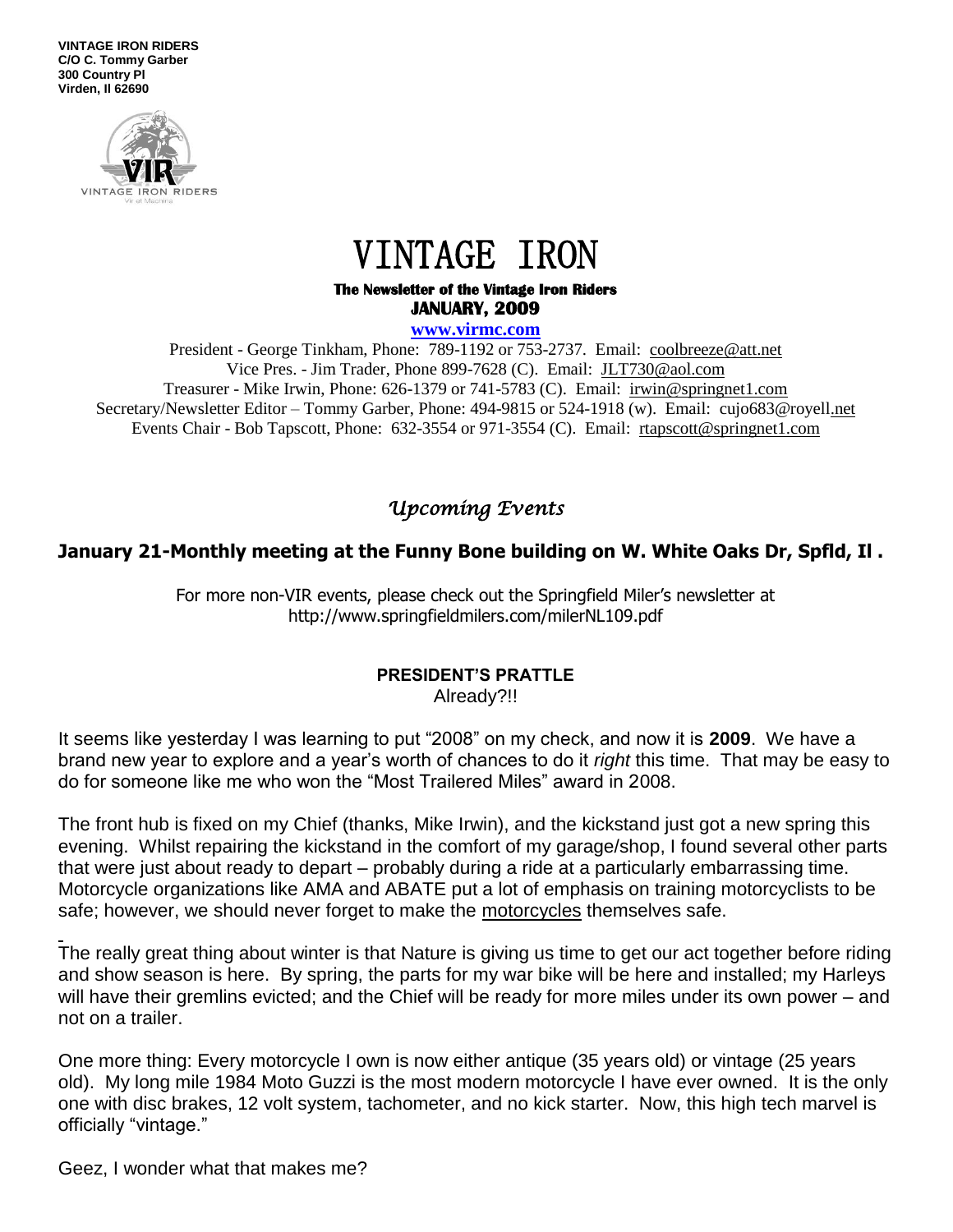**VINTAGE IRON RIDERS C/O C. Tommy Garber 300 Country Pl Virden, Il 62690**



# VINTAGE IRON

#### **The Newsletter of the Vintage Iron Riders JANUARY, 2009**

#### **www.virmc.com**

President - George Tinkham, Phone: 789-1192 or 753-2737. Email: [coolbreeze@att.net](mailto:coolbreeze@att.net) Vice Pres. - Jim Trader, Phone 899-7628 (C). Email: [JLT730@aol.com](mailto:JLT730@aol.com) Treasurer - Mike Irwin, Phone: 626-1379 or 741-5783 (C). Email: irwin@springnet1.com Secretary/Newsletter Editor – Tommy Garber, Phone: 494-9815 or 524-1918 (w). Email: cujo683@royell.net Events Chair - Bob Tapscott, Phone: 632-3554 or 971-3554 (C). Email: [rtapscott@springnet1.com](mailto:rtapscott@springnet1.com)

## *Upcoming Events*

## **January 21-Monthly meeting at the Funny Bone building on W. White Oaks Dr, Spfld, Il .**

For more non-VIR events, please check out the Springfield Miler's newsletter at http://www.springfieldmilers.com/milerNL109.pdf

## **PRESIDENT'S PRATTLE**

Already?!!

It seems like yesterday I was learning to put "2008" on my check, and now it is **2009**. We have a brand new year to explore and a year's worth of chances to do it *right* this time. That may be easy to do for someone like me who won the "Most Trailered Miles" award in 2008.

The front hub is fixed on my Chief (thanks, Mike Irwin), and the kickstand just got a new spring this evening. Whilst repairing the kickstand in the comfort of my garage/shop, I found several other parts that were just about ready to depart – probably during a ride at a particularly embarrassing time. Motorcycle organizations like AMA and ABATE put a lot of emphasis on training motorcyclists to be safe; however, we should never forget to make the motorcycles themselves safe.

The really great thing about winter is that Nature is giving us time to get our act together before riding and show season is here. By spring, the parts for my war bike will be here and installed; my Harleys will have their gremlins evicted; and the Chief will be ready for more miles under its own power – and not on a trailer.

One more thing: Every motorcycle I own is now either antique (35 years old) or vintage (25 years old). My long mile 1984 Moto Guzzi is the most modern motorcycle I have ever owned. It is the only one with disc brakes, 12 volt system, tachometer, and no kick starter. Now, this high tech marvel is officially "vintage."

Geez, I wonder what that makes me?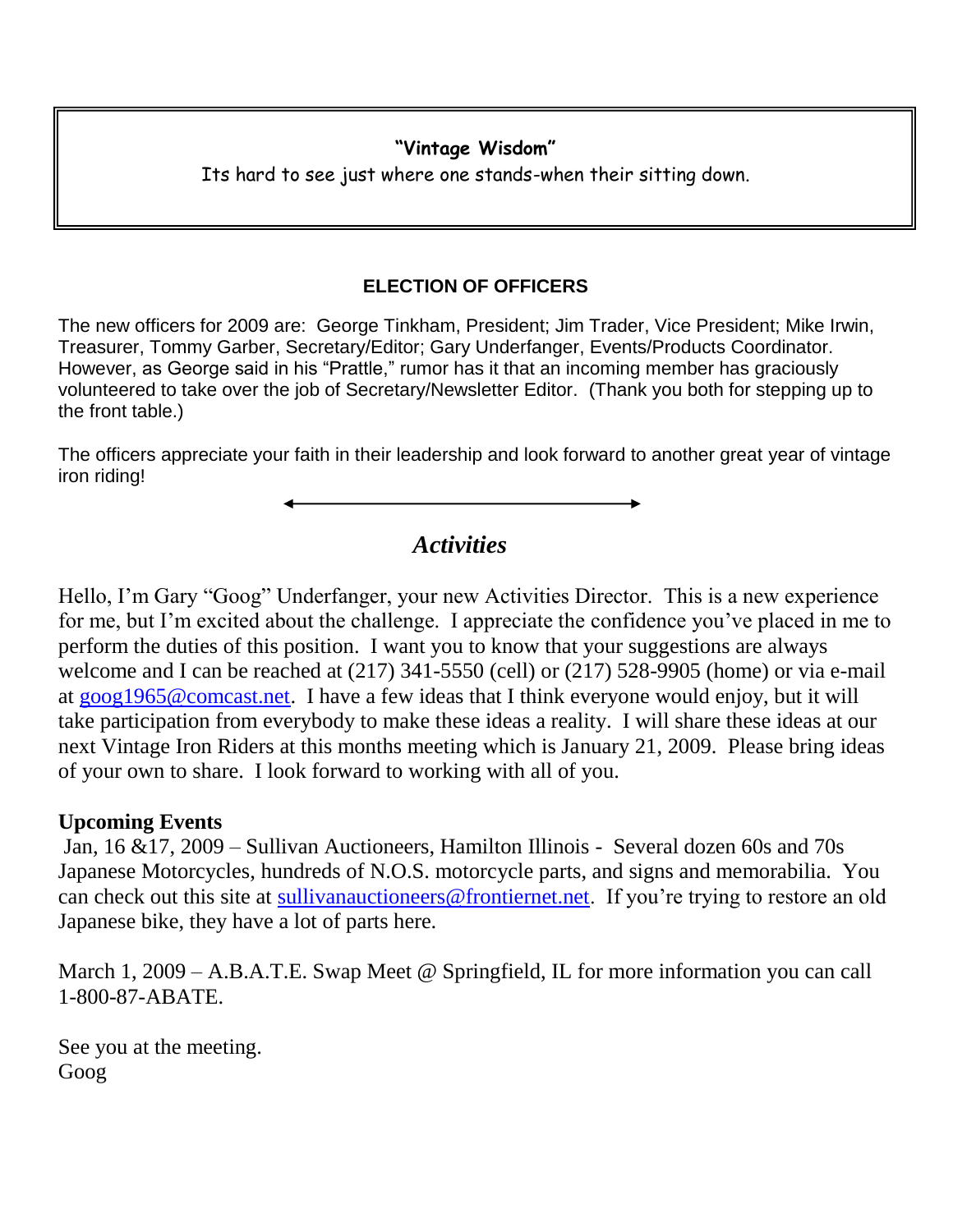## **"Vintage Wisdom"**

Its hard to see just where one stands-when their sitting down.

## **ELECTION OF OFFICERS**

The new officers for 2009 are: George Tinkham, President; Jim Trader, Vice President; Mike Irwin, Treasurer, Tommy Garber, Secretary/Editor; Gary Underfanger, Events/Products Coordinator. However, as George said in his "Prattle," rumor has it that an incoming member has graciously volunteered to take over the job of Secretary/Newsletter Editor. (Thank you both for stepping up to the front table.)

The officers appreciate your faith in their leadership and look forward to another great year of vintage iron riding!

## *Activities*

Hello, I'm Gary "Goog" Underfanger, your new Activities Director. This is a new experience for me, but I'm excited about the challenge. I appreciate the confidence you've placed in me to perform the duties of this position. I want you to know that your suggestions are always welcome and I can be reached at (217) 341-5550 (cell) or (217) 528-9905 (home) or via e-mail at [goog1965@comcast.net.](mailto:goog1965@comcast.net) I have a few ideas that I think everyone would enjoy, but it will take participation from everybody to make these ideas a reality. I will share these ideas at our next Vintage Iron Riders at this months meeting which is January 21, 2009. Please bring ideas of your own to share. I look forward to working with all of you.

## **Upcoming Events**

Jan, 16 &17, 2009 – Sullivan Auctioneers, Hamilton Illinois - Several dozen 60s and 70s Japanese Motorcycles, hundreds of N.O.S. motorcycle parts, and signs and memorabilia. You can check out this site at [sullivanauctioneers@frontiernet.net.](mailto:sullivanauctioneers@frontiernet.net) If you're trying to restore an old Japanese bike, they have a lot of parts here.

March 1, 2009 – A.B.A.T.E. Swap Meet @ Springfield, IL for more information you can call 1-800-87-ABATE.

See you at the meeting. Goog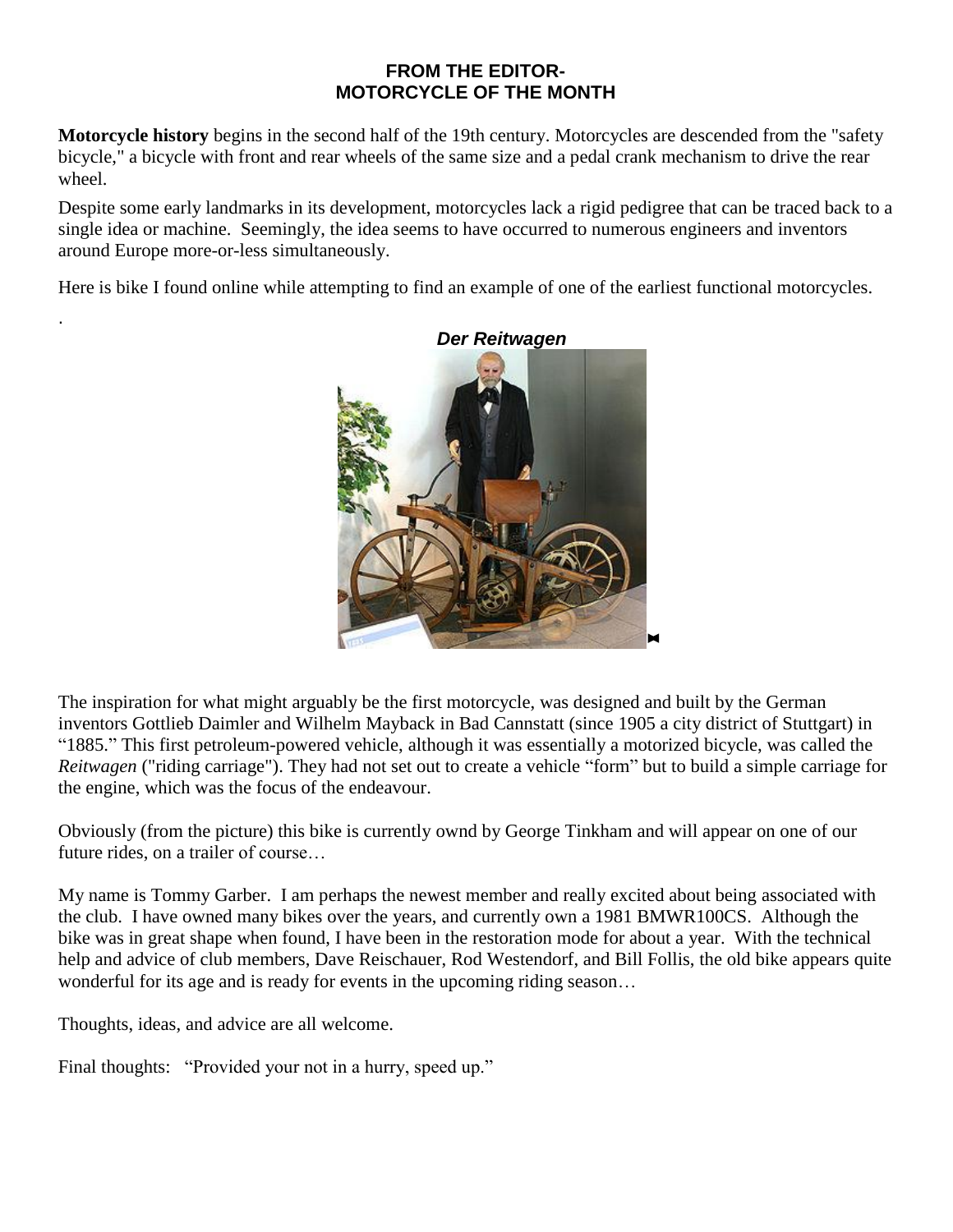#### **FROM THE EDITOR-MOTORCYCLE OF THE MONTH**

**Motorcycle history** begins in the second half of the 19th century. Motorcycles are descended from the "safety bicycle," a bicycle with front and rear wheels of the same size and a pedal crank mechanism to drive the rear wheel.

Despite some early landmarks in its development, motorcycles lack a rigid pedigree that can be traced back to a single idea or machine. Seemingly, the idea seems to have occurred to numerous engineers and inventors around Europe more-or-less simultaneously.

Here is bike I found online while attempting to find an example of one of the earliest functional motorcycles.



The inspiration for what might arguably be the first motorcycle, was designed and built by the German inventors Gottlieb Daimler and Wilhelm Mayback in Bad Cannstatt (since 1905 a city district of Stuttgart) in "1885." This first petroleum-powered vehicle, although it was essentially a motorized bicycle, was called the *Reitwagen* ("riding carriage"). They had not set out to create a vehicle "form" but to build a simple carriage for the engine, which was the focus of the endeavour.

Obviously (from the picture) this bike is currently ownd by George Tinkham and will appear on one of our future rides, on a trailer of course…

My name is Tommy Garber. I am perhaps the newest member and really excited about being associated with the club. I have owned many bikes over the years, and currently own a 1981 BMWR100CS. Although the bike was in great shape when found, I have been in the restoration mode for about a year. With the technical help and advice of club members, Dave Reischauer, Rod Westendorf, and Bill Follis, the old bike appears quite wonderful for its age and is ready for events in the upcoming riding season…

Thoughts, ideas, and advice are all welcome.

.

Final thoughts: "Provided your not in a hurry, speed up."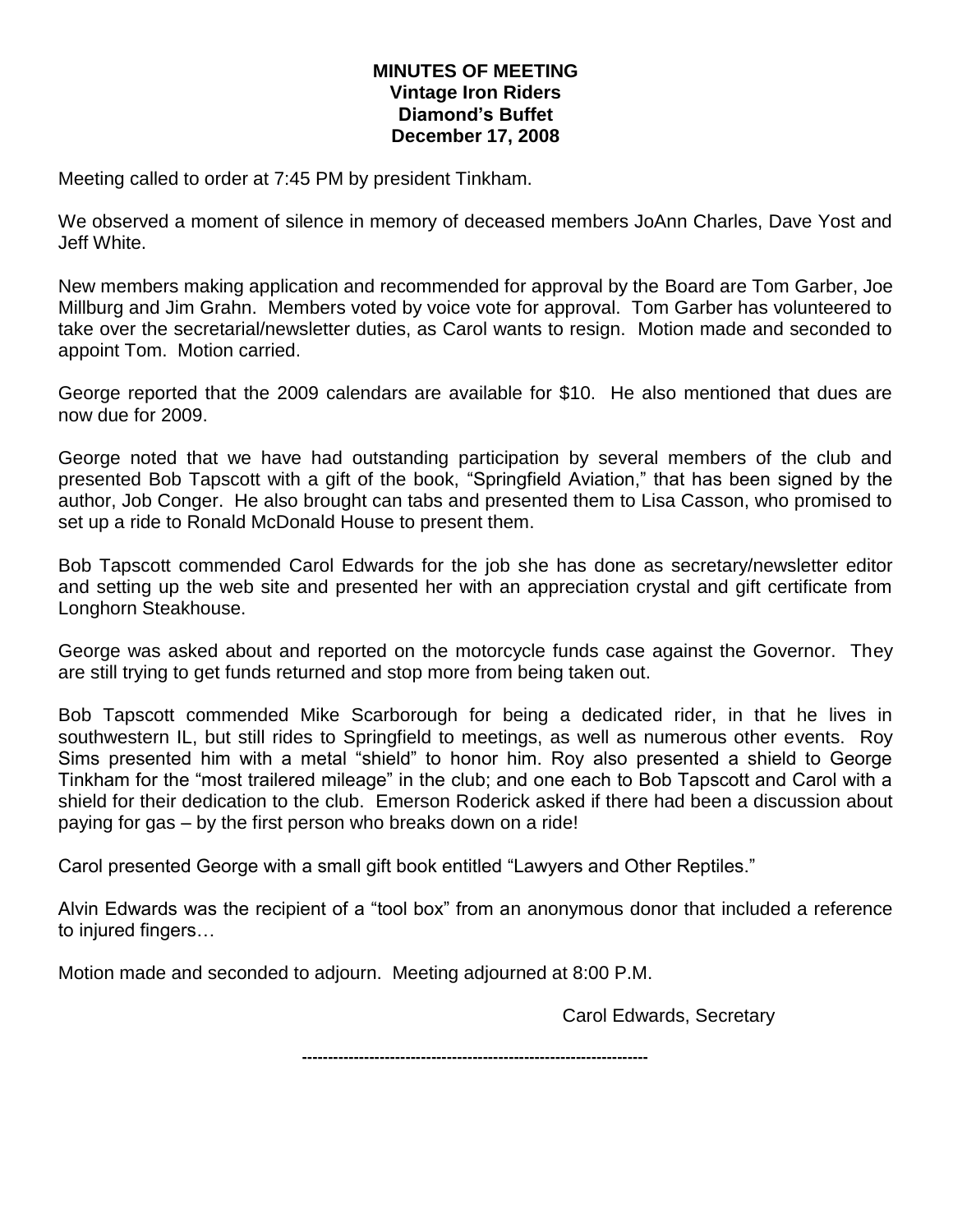#### **MINUTES OF MEETING Vintage Iron Riders Diamond's Buffet December 17, 2008**

Meeting called to order at 7:45 PM by president Tinkham.

We observed a moment of silence in memory of deceased members JoAnn Charles, Dave Yost and Jeff White.

New members making application and recommended for approval by the Board are Tom Garber, Joe Millburg and Jim Grahn. Members voted by voice vote for approval. Tom Garber has volunteered to take over the secretarial/newsletter duties, as Carol wants to resign. Motion made and seconded to appoint Tom. Motion carried.

George reported that the 2009 calendars are available for \$10. He also mentioned that dues are now due for 2009.

George noted that we have had outstanding participation by several members of the club and presented Bob Tapscott with a gift of the book, "Springfield Aviation," that has been signed by the author, Job Conger. He also brought can tabs and presented them to Lisa Casson, who promised to set up a ride to Ronald McDonald House to present them.

Bob Tapscott commended Carol Edwards for the job she has done as secretary/newsletter editor and setting up the web site and presented her with an appreciation crystal and gift certificate from Longhorn Steakhouse.

George was asked about and reported on the motorcycle funds case against the Governor. They are still trying to get funds returned and stop more from being taken out.

Bob Tapscott commended Mike Scarborough for being a dedicated rider, in that he lives in southwestern IL, but still rides to Springfield to meetings, as well as numerous other events. Roy Sims presented him with a metal "shield" to honor him. Roy also presented a shield to George Tinkham for the "most trailered mileage" in the club; and one each to Bob Tapscott and Carol with a shield for their dedication to the club. Emerson Roderick asked if there had been a discussion about paying for gas – by the first person who breaks down on a ride!

Carol presented George with a small gift book entitled "Lawyers and Other Reptiles."

Alvin Edwards was the recipient of a "tool box" from an anonymous donor that included a reference to injured fingers…

Motion made and seconded to adjourn. Meeting adjourned at 8:00 P.M.

Carol Edwards, Secretary

**-------------------------------------------------------------------**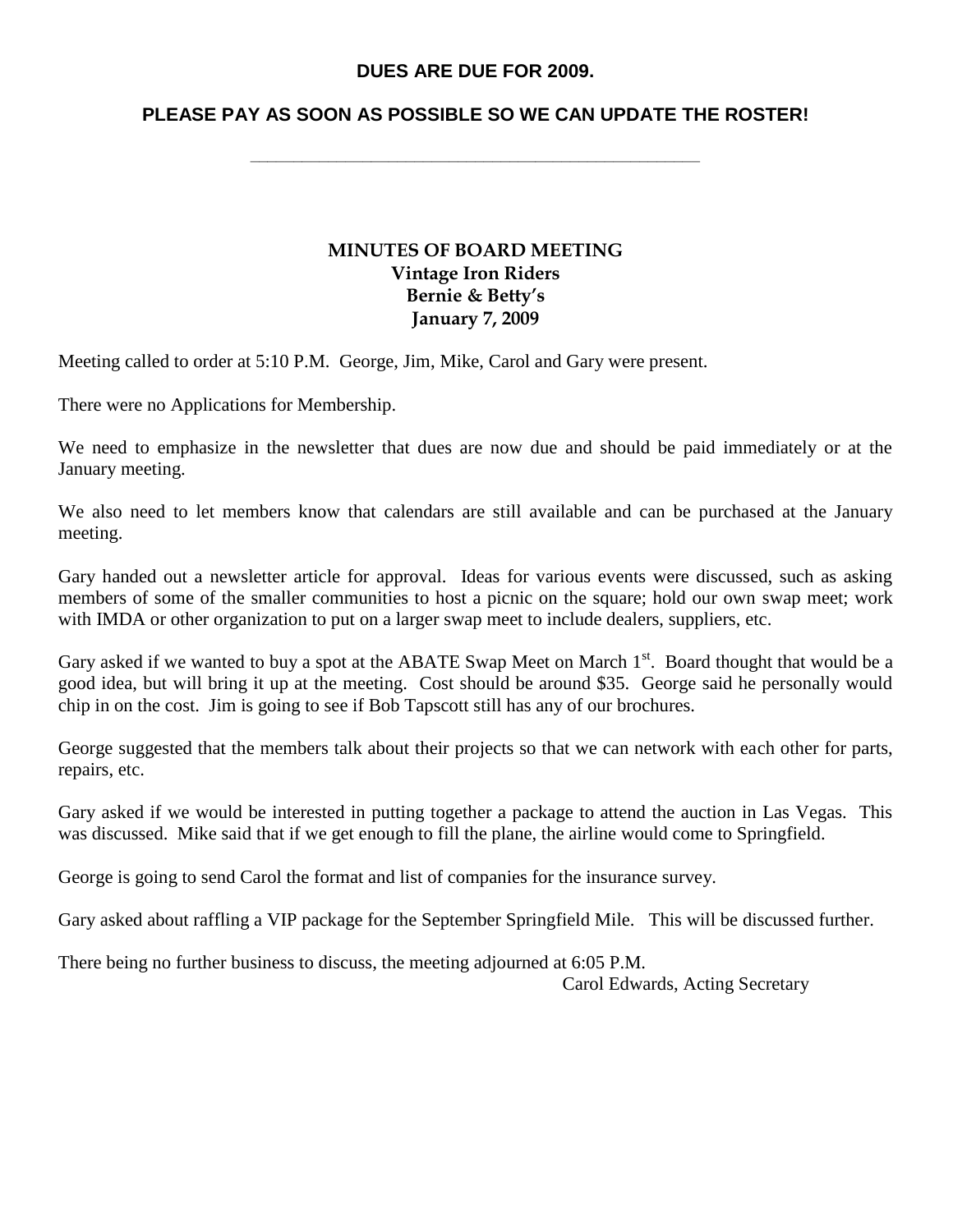#### **DUES ARE DUE FOR 2009.**

### **PLEASE PAY AS SOON AS POSSIBLE SO WE CAN UPDATE THE ROSTER!**

**\_\_\_\_\_\_\_\_\_\_\_\_\_\_\_\_\_\_\_\_\_\_\_\_\_\_\_\_\_\_\_\_\_\_\_\_\_\_\_\_\_\_\_\_\_\_\_\_\_\_\_\_**

#### **MINUTES OF BOARD MEETING Vintage Iron Riders Bernie & Betty's January 7, 2009**

Meeting called to order at 5:10 P.M. George, Jim, Mike, Carol and Gary were present.

There were no Applications for Membership.

We need to emphasize in the newsletter that dues are now due and should be paid immediately or at the January meeting.

We also need to let members know that calendars are still available and can be purchased at the January meeting.

Gary handed out a newsletter article for approval. Ideas for various events were discussed, such as asking members of some of the smaller communities to host a picnic on the square; hold our own swap meet; work with IMDA or other organization to put on a larger swap meet to include dealers, suppliers, etc.

Gary asked if we wanted to buy a spot at the ABATE Swap Meet on March 1<sup>st</sup>. Board thought that would be a good idea, but will bring it up at the meeting. Cost should be around \$35. George said he personally would chip in on the cost. Jim is going to see if Bob Tapscott still has any of our brochures.

George suggested that the members talk about their projects so that we can network with each other for parts, repairs, etc.

Gary asked if we would be interested in putting together a package to attend the auction in Las Vegas. This was discussed. Mike said that if we get enough to fill the plane, the airline would come to Springfield.

George is going to send Carol the format and list of companies for the insurance survey.

Gary asked about raffling a VIP package for the September Springfield Mile. This will be discussed further.

There being no further business to discuss, the meeting adjourned at 6:05 P.M.

Carol Edwards, Acting Secretary